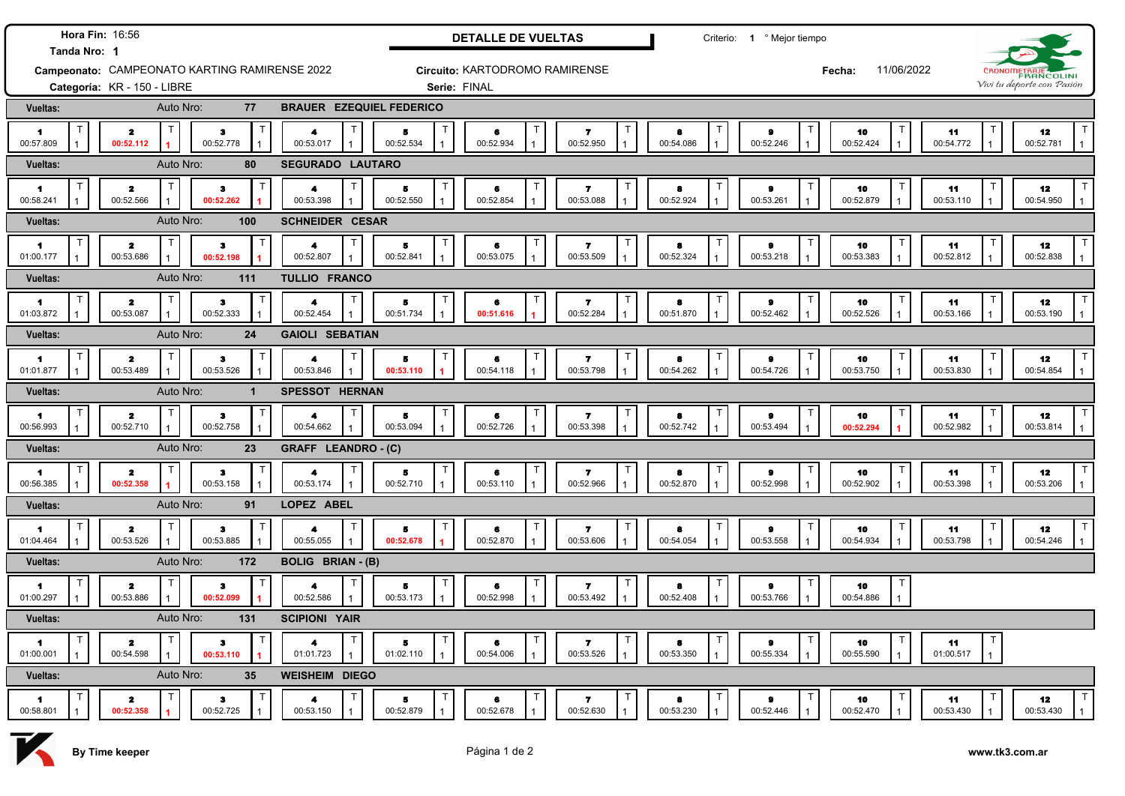| Hora Fin: 16:56<br>Tanda Nro: 1               |                                            |                           |              |                                   |                        | <b>DETALLE DE VUELTAS</b>      |                                                           |                     | Criterio: 1 º Mejor tiempo     |                                        |                                 |                                                 |  |
|-----------------------------------------------|--------------------------------------------|---------------------------|--------------|-----------------------------------|------------------------|--------------------------------|-----------------------------------------------------------|---------------------|--------------------------------|----------------------------------------|---------------------------------|-------------------------------------------------|--|
| Campeonato: CAMPEONATO KARTING RAMIRENSE 2022 |                                            |                           |              |                                   |                        | Circuito: KARTODROMO RAMIRENSE |                                                           |                     |                                | 11/06/2022<br>Fecha:                   |                                 | CRONOMETRAJE                                    |  |
|                                               | Categoría: KR - 150 - LIBRE                |                           |              |                                   | Serie: FINAL           |                                |                                                           |                     |                                |                                        |                                 | Vivi tu deporte con Pasión                      |  |
| <b>Vueltas:</b>                               |                                            | Auto Nro:                 | 77           | <b>BRAUER EZEQUIEL FEDERICO</b>   |                        |                                |                                                           |                     |                                |                                        |                                 |                                                 |  |
| $\blacksquare$<br>00:57.809                   | $\mathbf{z}$<br>00:52.112                  | $\bullet$<br>00:52.778    |              | 4<br>00:53.017                    | ${\bf 5}$<br>00:52.534 | 6<br>00:52.934                 | $\overline{\mathbf{z}}$<br>00:52.950                      | 8<br>00:54.086      | 9<br>00:52.246<br>$\mathbf{1}$ | 10<br>00:52.424                        | 11<br>00:54.772                 | 12<br>00:52.781<br>$\mathbf{1}$                 |  |
| <b>Vueltas:</b>                               |                                            | Auto Nro:                 | 80           | <b>SEGURADO LAUTARO</b>           |                        |                                |                                                           |                     |                                |                                        |                                 |                                                 |  |
| $\blacksquare$<br>00:58.241                   | $\mathbf{z}$<br>00:52.566                  | з<br>00:52.262            |              | 4<br>00:53.398                    | 5<br>00:52.550         | п<br>6<br>00:52.854            | $\overline{\mathbf{r}}$<br>00:53.088                      | 8<br>00:52.924      | $\bullet$<br>00:53.261         | 10<br>00:52.879                        | 11<br>00:53.110                 | 12<br>00:54.950<br>$\mathbf{1}$                 |  |
| <b>Vueltas:</b>                               |                                            | Auto Nro:<br>100          |              | <b>SCHNEIDER CESAR</b>            |                        |                                |                                                           |                     |                                |                                        |                                 |                                                 |  |
| $\blacksquare$<br>01:00.177                   | Т<br>$\mathbf{z}$<br>00:53.686             | $\mathbf{3}$<br>00:52.198 |              | $\blacktriangleleft$<br>00:52.807 | 5<br>00:52.841         | $\mathsf T$<br>6<br>00:53.075  | Τ<br>$\mathbf{z}$<br>00:53.509                            | 8<br>00:52.324      | $\pmb{9}$<br>00:53.218         | 10<br>00:53.383                        | $\mathsf T$<br>11<br>00:52.812  | T<br>12<br>00:52.838<br>$\overline{1}$          |  |
| Vueltas:                                      |                                            | 111<br>Auto Nro:          |              | <b>TULLIO FRANCO</b>              |                        |                                |                                                           |                     |                                |                                        |                                 |                                                 |  |
| $\blacktriangleleft$<br>01:03.872             | T.<br>$\mathbf{z}$<br>00:53.087            | з<br>00:52.333            | $\mathbf{1}$ | $\mathsf{T}$<br>4<br>00:52.454    | 5<br>00:51.734         | $\top$<br>6<br>00:51.616       | $\overline{\mathbf{r}}$<br>00:52.284<br>1                 | 8<br>00:51.870      | $\bullet$<br>00:52.462         | 10<br>00:52.526                        | 11<br>00:53.166                 | T<br>12<br>00:53.190<br>$\mathbf{1}$            |  |
| Vueltas:                                      |                                            | Auto Nro:                 | 24           | <b>GAIOLI SEBATIAN</b>            |                        |                                |                                                           |                     |                                |                                        |                                 |                                                 |  |
| 1<br>01:01.877                                | T.<br>$\overline{\mathbf{z}}$<br>00:53.489 | $\bf{3}$<br>00:53.526     | $\mathbf{1}$ | 4<br>00:53.846                    | 5<br>00:53.110         | $\top$<br>6<br>00:54.118       | $\overline{\mathbf{r}}$<br>00:53.798                      | 8<br>00:54.262      | $\bullet$<br>00:54.726         | 10<br>00:53.750                        | $\mathsf{T}$<br>11<br>00:53.830 | T<br>12<br>00:54.854<br>$\mathbf{1}$            |  |
| Vueltas:                                      |                                            | Auto Nro:                 | $\mathbf{1}$ | <b>SPESSOT HERNAN</b>             |                        |                                |                                                           |                     |                                |                                        |                                 |                                                 |  |
| $\blacksquare$<br>00:56.993                   | T<br>$\mathbf{z}$<br>00:52.710             | з<br>00:52.758            |              | $\blacktriangle$<br>00:54.662     | T<br>5<br>00:53.094    | T<br>6<br>00:52.726            | T<br>$\mathbf{z}$<br>00:53.398                            | 8<br>00:52.742      | Т<br>$\bullet$<br>00:53.494    | Т<br>10<br>00:52.294                   | 11<br>00:52.982                 | T<br>12<br>00:53.814<br>$\mathbf{1}$            |  |
| Vueltas:                                      |                                            | 23<br>Auto Nro:           |              | GRAFF LEANDRO - (C)               |                        |                                |                                                           |                     |                                |                                        |                                 |                                                 |  |
| 1<br>00:56.385                                | $\mathsf T$<br>$\mathbf{z}$<br>00:52.358   | з<br>00:53.158            |              | 00:53.174                         | Τ<br>5<br>00:52.710    | Т<br>6<br>00:53.110            | Т<br>7<br>00:52.966                                       | 8<br>00:52.870      | $\bullet$<br>00:52.998         | 10<br>00:52.902                        | 11<br>00:53.398                 | $\mathsf{T}$<br>12<br>00:53.206<br>$\mathbf{1}$ |  |
| Vueltas:                                      |                                            | Auto Nro:                 | 91           | LOPEZ ABEL                        |                        |                                |                                                           |                     |                                |                                        |                                 |                                                 |  |
| 1.<br>01:04.464                               | $\mathbf{z}$<br>00:53.526                  | $\bullet$<br>00:53.885    | Π            | 00:55.055                         | Τ<br>5<br>00:52.678    | Τ<br>6<br>00:52.870            | т<br>$\mathbf{z}$<br>00:53.606                            | Т<br>8<br>00:54.054 | $\bullet$<br>00:53.558         | 10<br>00:54.934                        | ा<br>11<br>00:53.798            | Т<br>12<br>00:54.246                            |  |
| Vueltas:                                      |                                            | Auto Nro:<br>172          |              | <b>BOLIG BRIAN - (B)</b>          |                        |                                |                                                           |                     |                                |                                        |                                 |                                                 |  |
| $\blacksquare$<br>01:00.297                   | $\overline{\mathbf{z}}$<br>00:53.886       | $\bullet$<br>00:52.099    |              | 4<br>00:52.586                    | т<br>5<br>00:53.173    | $\mathsf T$<br>6<br>00:52.998  | Т<br>$\overline{\mathbf{r}}$<br>00:53.492<br>$\mathbf{1}$ | 8<br>00:52.408      | Т<br>$\bullet$<br>00:53.766    | Т<br>10<br>00:54.886<br>$\overline{1}$ |                                 |                                                 |  |
| <b>Vueltas:</b>                               |                                            | Auto Nro:<br>131          |              | <b>SCIPIONI YAIR</b>              |                        |                                |                                                           |                     |                                |                                        |                                 |                                                 |  |
| 1.<br>01:00.001                               | $\mathbf{z}$<br>00:54.598                  | з<br>00:53.110            |              | 4<br>01:01.723                    | 5<br>01:02.110         | $\top$<br>6<br>00:54.006       | T<br>7<br>00:53.526                                       | 8<br>00:53.350      | Т<br>9<br>00:55.334            | 10<br>00:55.590                        | $\top$<br>11<br>01:00.517       |                                                 |  |
| <b>Vueltas:</b>                               |                                            | Auto Nro:                 | 35           | <b>WEISHEIM DIEGO</b>             |                        |                                |                                                           |                     |                                |                                        |                                 |                                                 |  |
| 1<br>00:58.801                                | $\mathbf{z}$<br>00:52.358                  | $\bullet$<br>00:52.725    |              | 4<br>00:53.150                    | 5<br>00:52.879         | 6<br>00:52.678                 | 7<br>00:52.630                                            | 8<br>00:53.230      | $\bullet$<br>00:52.446         | 10<br>00:52.470                        | 11<br>00:53.430                 | $\mathsf T$<br>12<br>00:53.430                  |  |